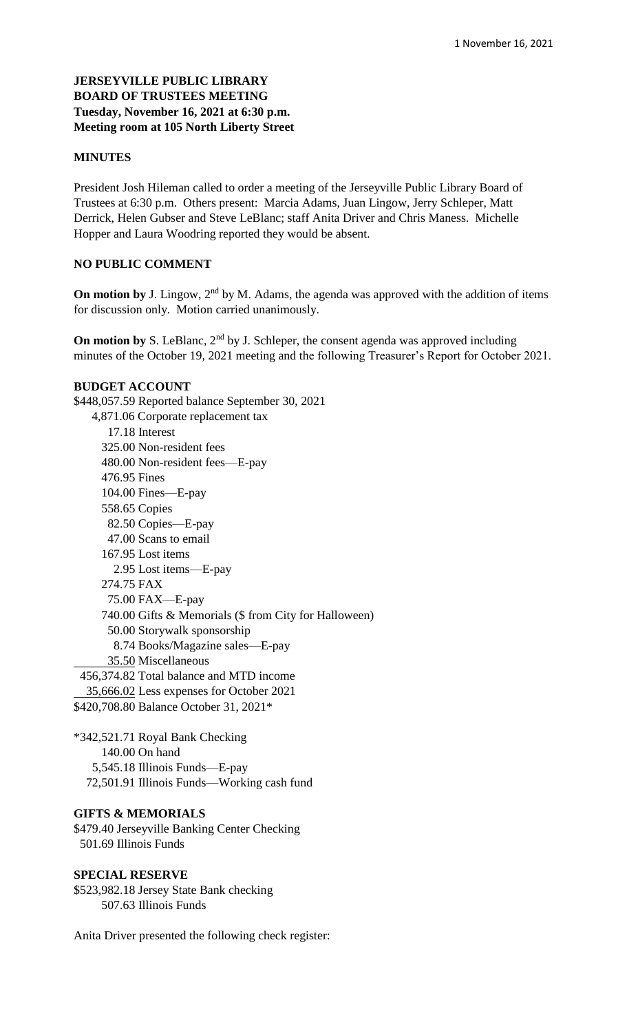## **JERSEYVILLE PUBLIC LIBRARY BOARD OF TRUSTEES MEETING Tuesday, November 16, 2021 at 6:30 p.m. Meeting room at 105 North Liberty Street**

#### **MINUTES**

President Josh Hileman called to order a meeting of the Jerseyville Public Library Board of Trustees at 6:30 p.m. Others present: Marcia Adams, Juan Lingow, Jerry Schleper, Matt Derrick, Helen Gubser and Steve LeBlanc; staff Anita Driver and Chris Maness. Michelle Hopper and Laura Woodring reported they would be absent.

#### **NO PUBLIC COMMENT**

**On motion by** J. Lingow, 2<sup>nd</sup> by M. Adams, the agenda was approved with the addition of items for discussion only. Motion carried unanimously.

**On motion by** S. LeBlanc,  $2<sup>nd</sup>$  by J. Schleper, the consent agenda was approved including minutes of the October 19, 2021 meeting and the following Treasurer's Report for October 2021.

#### **BUDGET ACCOUNT**

\$448,057.59 Reported balance September 30, 2021 4,871.06 Corporate replacement tax 17.18 Interest 325.00 Non-resident fees 480.00 Non-resident fees—E-pay 476.95 Fines 104.00 Fines—E-pay 558.65 Copies 82.50 Copies—E-pay 47.00 Scans to email 167.95 Lost items 2.95 Lost items—E-pay 274.75 FAX 75.00 FAX—E-pay 740.00 Gifts & Memorials (\$ from City for Halloween) 50.00 Storywalk sponsorship 8.74 Books/Magazine sales—E-pay 35.50 Miscellaneous 456,374.82 Total balance and MTD income 35,666.02 Less expenses for October 2021

\$420,708.80 Balance October 31, 2021\*

\*342,521.71 Royal Bank Checking 140.00 On hand 5,545.18 Illinois Funds—E-pay 72,501.91 Illinois Funds—Working cash fund

#### **GIFTS & MEMORIALS**

\$479.40 Jerseyville Banking Center Checking 501.69 Illinois Funds

#### **SPECIAL RESERVE**

\$523,982.18 Jersey State Bank checking 507.63 Illinois Funds

Anita Driver presented the following check register: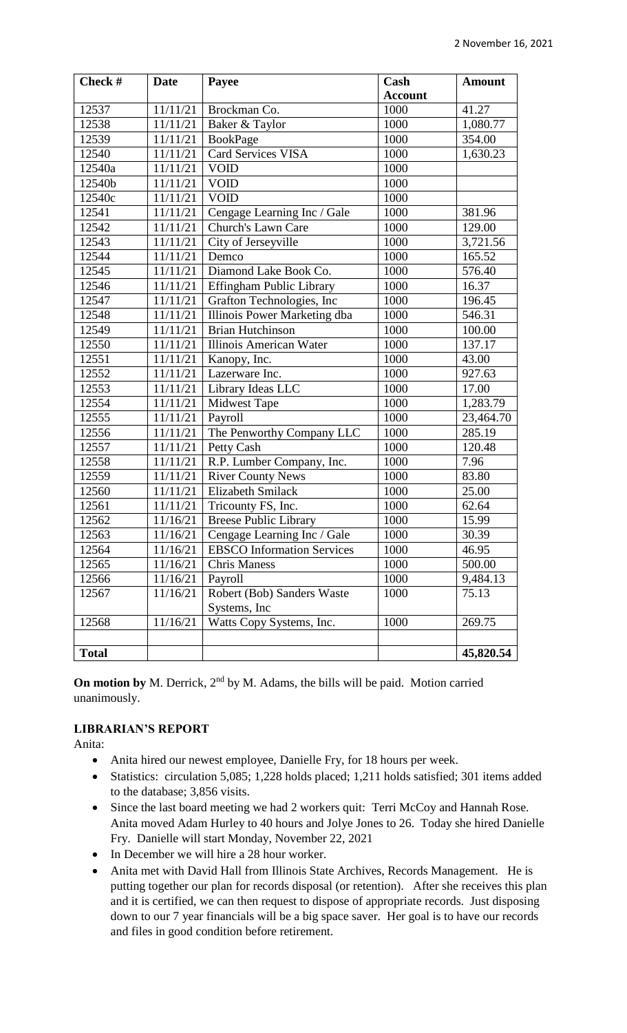| Check #      | <b>Date</b> | Payee                             | Cash           | <b>Amount</b> |
|--------------|-------------|-----------------------------------|----------------|---------------|
|              |             |                                   | <b>Account</b> |               |
| 12537        | 11/11/21    | Brockman Co.                      | 1000           | 41.27         |
| 12538        | 11/11/21    | Baker & Taylor                    | 1000           | 1,080.77      |
| 12539        | 11/11/21    | <b>BookPage</b>                   | 1000           | 354.00        |
| 12540        | 11/11/21    | Card Services VISA                | 1000           | 1,630.23      |
| 12540a       | 11/11/21    | <b>VOID</b>                       | 1000           |               |
| 12540b       | 11/11/21    | <b>VOID</b>                       | 1000           |               |
| 12540c       | 11/11/21    | <b>VOID</b>                       | 1000           |               |
| 12541        | 11/11/21    | Cengage Learning Inc / Gale       | 1000           | 381.96        |
| 12542        | 11/11/21    | Church's Lawn Care                | 1000           | 129.00        |
| 12543        | 11/11/21    | City of Jerseyville               | 1000           | 3,721.56      |
| 12544        | 11/11/21    | Demco                             | 1000           | 165.52        |
| 12545        | 11/11/21    | Diamond Lake Book Co.             | 1000           | 576.40        |
| 12546        | 11/11/21    | <b>Effingham Public Library</b>   | 1000           | 16.37         |
| 12547        | 11/11/21    | Grafton Technologies, Inc         | 1000           | 196.45        |
| 12548        | 11/11/21    | Illinois Power Marketing dba      | 1000           | 546.31        |
| 12549        | 11/11/21    | <b>Brian Hutchinson</b>           | 1000           | 100.00        |
| 12550        | 11/11/21    | Illinois American Water           | 1000           | 137.17        |
| 12551        | 11/11/21    | Kanopy, Inc.                      | 1000           | 43.00         |
| 12552        | 11/11/21    | Lazerware Inc.                    | 1000           | 927.63        |
| 12553        | 11/11/21    | Library Ideas LLC                 | 1000           | 17.00         |
| 12554        | 11/11/21    | <b>Midwest Tape</b>               | 1000           | 1,283.79      |
| 12555        | 11/11/21    | Payroll                           | 1000           | 23,464.70     |
| 12556        | 11/11/21    | The Penworthy Company LLC         | 1000           | 285.19        |
| 12557        | 11/11/21    | Petty Cash                        | 1000           | 120.48        |
| 12558        | 11/11/21    | R.P. Lumber Company, Inc.         | 1000           | 7.96          |
| 12559        | 11/11/21    | <b>River County News</b>          | 1000           | 83.80         |
| 12560        | 11/11/21    | <b>Elizabeth Smilack</b>          | 1000           | 25.00         |
| 12561        | 11/11/21    | Tricounty FS, Inc.                | 1000           | 62.64         |
| 12562        | 11/16/21    | <b>Breese Public Library</b>      | 1000           | 15.99         |
| 12563        | 11/16/21    | Cengage Learning Inc / Gale       | 1000           | 30.39         |
| 12564        | 11/16/21    | <b>EBSCO</b> Information Services | 1000           | 46.95         |
| 12565        | 11/16/21    | <b>Chris Maness</b>               | 1000           | 500.00        |
| 12566        | 11/16/21    | Payroll                           | 1000           | 9,484.13      |
| 12567        | 11/16/21    | Robert (Bob) Sanders Waste        | 1000           | 75.13         |
|              |             | Systems, Inc.                     |                |               |
| 12568        | 11/16/21    | Watts Copy Systems, Inc.          | 1000           | 269.75        |
|              |             |                                   |                |               |
| <b>Total</b> |             |                                   |                | 45,820.54     |

**On motion by** M. Derrick, 2<sup>nd</sup> by M. Adams, the bills will be paid. Motion carried unanimously.

## **LIBRARIAN'S REPORT**

Anita:

- Anita hired our newest employee, Danielle Fry, for 18 hours per week.
- Statistics: circulation 5,085; 1,228 holds placed; 1,211 holds satisfied; 301 items added to the database; 3,856 visits.
- Since the last board meeting we had 2 workers quit: Terri McCoy and Hannah Rose. Anita moved Adam Hurley to 40 hours and Jolye Jones to 26. Today she hired Danielle Fry. Danielle will start Monday, November 22, 2021
- In December we will hire a 28 hour worker.
- Anita met with David Hall from Illinois State Archives, Records Management. He is putting together our plan for records disposal (or retention). After she receives this plan and it is certified, we can then request to dispose of appropriate records. Just disposing down to our 7 year financials will be a big space saver. Her goal is to have our records and files in good condition before retirement.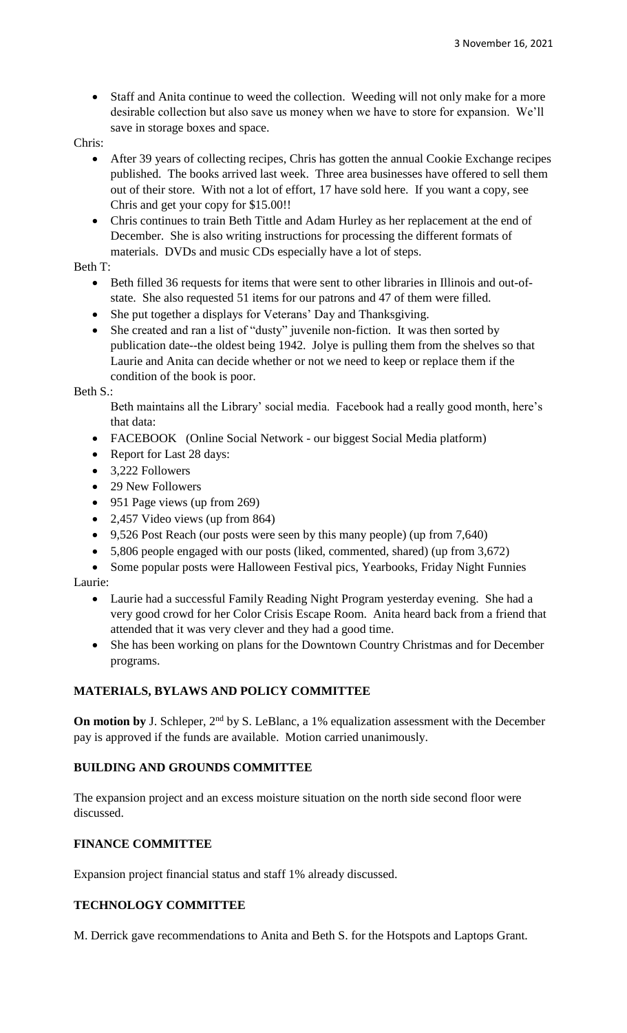Staff and Anita continue to weed the collection. Weeding will not only make for a more desirable collection but also save us money when we have to store for expansion. We'll save in storage boxes and space.

Chris:

- After 39 years of collecting recipes, Chris has gotten the annual Cookie Exchange recipes published. The books arrived last week. Three area businesses have offered to sell them out of their store. With not a lot of effort, 17 have sold here. If you want a copy, see Chris and get your copy for \$15.00!!
- Chris continues to train Beth Tittle and Adam Hurley as her replacement at the end of December. She is also writing instructions for processing the different formats of materials. DVDs and music CDs especially have a lot of steps.

## Beth T:

- Beth filled 36 requests for items that were sent to other libraries in Illinois and out-ofstate. She also requested 51 items for our patrons and 47 of them were filled.
- She put together a displays for Veterans' Day and Thanksgiving.
- She created and ran a list of "dusty" juvenile non-fiction. It was then sorted by publication date--the oldest being 1942. Jolye is pulling them from the shelves so that Laurie and Anita can decide whether or not we need to keep or replace them if the condition of the book is poor.

### Beth S.:

Beth maintains all the Library' social media. Facebook had a really good month, here's that data:

- FACEBOOK (Online Social Network our biggest Social Media platform)
- Report for Last 28 days:
- 3,222 Followers
- 29 New Followers
- 951 Page views (up from 269)
- 2,457 Video views (up from 864)
- 9,526 Post Reach (our posts were seen by this many people) (up from 7,640)
- 5,806 people engaged with our posts (liked, commented, shared) (up from 3,672)
- Some popular posts were Halloween Festival pics, Yearbooks, Friday Night Funnies Laurie:
	- Laurie had a successful Family Reading Night Program yesterday evening. She had a very good crowd for her Color Crisis Escape Room. Anita heard back from a friend that attended that it was very clever and they had a good time.
	- She has been working on plans for the Downtown Country Christmas and for December programs.

## **MATERIALS, BYLAWS AND POLICY COMMITTEE**

**On motion by** J. Schleper, 2<sup>nd</sup> by S. LeBlanc, a 1% equalization assessment with the December pay is approved if the funds are available. Motion carried unanimously.

## **BUILDING AND GROUNDS COMMITTEE**

The expansion project and an excess moisture situation on the north side second floor were discussed.

## **FINANCE COMMITTEE**

Expansion project financial status and staff 1% already discussed.

## **TECHNOLOGY COMMITTEE**

M. Derrick gave recommendations to Anita and Beth S. for the Hotspots and Laptops Grant.